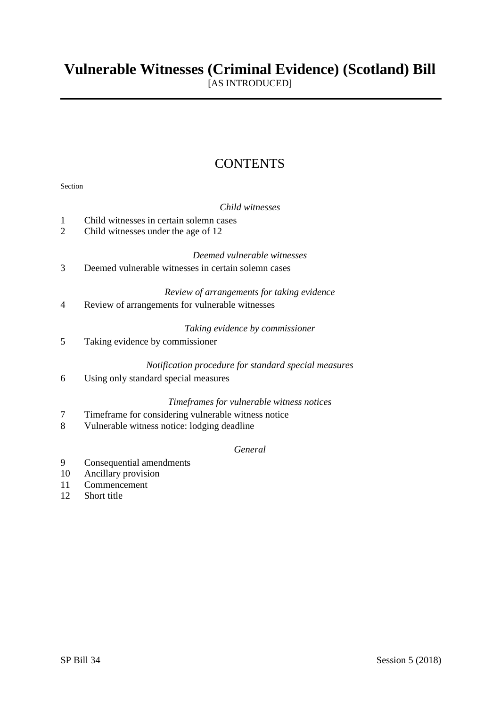# **CONTENTS**

| <b>Section</b> |
|----------------|
|                |

# *Child witnesses*

- 1 Child witnesses in certain solemn cases
- 2 Child witnesses under the age of 12

# *Deemed vulnerable witnesses*

3 Deemed vulnerable witnesses in certain solemn cases

# *Review of arrangements for taking evidence*

4 Review of arrangements for vulnerable witnesses

# *Taking evidence by commissioner*

5 Taking evidence by commissioner

# *Notification procedure for standard special measures*

6 Using only standard special measures

# *Timeframes for vulnerable witness notices*

- 7 Timeframe for considering vulnerable witness notice
- 8 Vulnerable witness notice: lodging deadline

## *General*

- 9 Consequential amendments
- 10 Ancillary provision
- 11 Commencement
- 12 Short title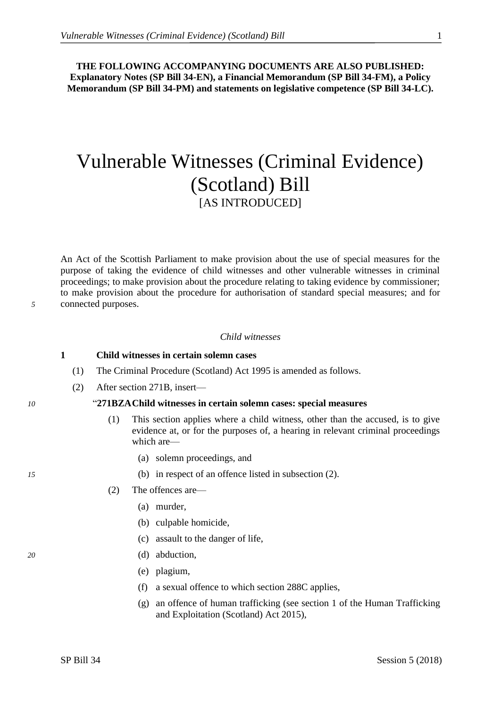**THE FOLLOWING ACCOMPANYING DOCUMENTS ARE ALSO PUBLISHED: Explanatory Notes (SP Bill 34-EN), a Financial Memorandum (SP Bill 34-FM), a Policy Memorandum (SP Bill 34-PM) and statements on legislative competence (SP Bill 34-LC).**

# Vulnerable Witnesses (Criminal Evidence) (Scotland) Bill [AS INTRODUCED]

An Act of the Scottish Parliament to make provision about the use of special measures for the purpose of taking the evidence of child witnesses and other vulnerable witnesses in criminal proceedings; to make provision about the procedure relating to taking evidence by commissioner; to make provision about the procedure for authorisation of standard special measures; and for *5* connected purposes.

#### *Child witnesses*

# **1 Child witnesses in certain solemn cases**

- (1) The Criminal Procedure (Scotland) Act 1995 is amended as follows.
- (2) After section 271B, insert—

#### *10* "**271BZAChild witnesses in certain solemn cases: special measures**

- (1) This section applies where a child witness, other than the accused, is to give evidence at, or for the purposes of, a hearing in relevant criminal proceedings which are—
	- (a) solemn proceedings, and
- *15* (b) in respect of an offence listed in subsection (2).
	- (2) The offences are—
		- (a) murder,
		- (b) culpable homicide,
		- (c) assault to the danger of life,
- *20* (d) abduction,
	- (e) plagium,
	- (f) a sexual offence to which section 288C applies,
	- (g) an offence of human trafficking (see section 1 of the Human Trafficking and Exploitation (Scotland) Act 2015),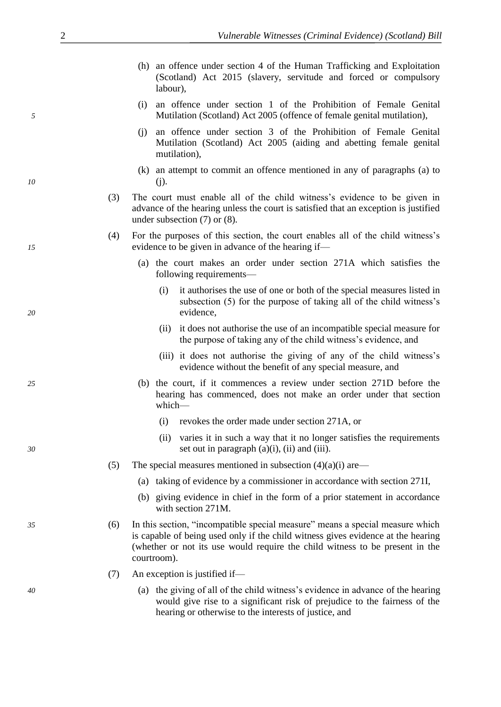- (h) an offence under section 4 of the Human Trafficking and Exploitation (Scotland) Act 2015 (slavery, servitude and forced or compulsory labour),
- (i) an offence under section 1 of the Prohibition of Female Genital *5* Mutilation (Scotland) Act 2005 (offence of female genital mutilation),
	- (j) an offence under section 3 of the Prohibition of Female Genital Mutilation (Scotland) Act 2005 (aiding and abetting female genital mutilation),
- (k) an attempt to commit an offence mentioned in any of paragraphs (a) to *10* (j).
	- (3) The court must enable all of the child witness's evidence to be given in advance of the hearing unless the court is satisfied that an exception is justified under subsection (7) or (8).
- (4) For the purposes of this section, the court enables all of the child witness's *15* evidence to be given in advance of the hearing if—
	- (a) the court makes an order under section 271A which satisfies the following requirements—
- (i) it authorises the use of one or both of the special measures listed in subsection (5) for the purpose of taking all of the child witness's *20* evidence,
	- (ii) it does not authorise the use of an incompatible special measure for the purpose of taking any of the child witness's evidence, and
	- (iii) it does not authorise the giving of any of the child witness's evidence without the benefit of any special measure, and
- *25* (b) the court, if it commences a review under section 271D before the hearing has commenced, does not make an order under that section which—
	- (i) revokes the order made under section 271A, or
- (ii) varies it in such a way that it no longer satisfies the requirements *30* set out in paragraph (a)(i), (ii) and (iii).
	- (5) The special measures mentioned in subsection  $(4)(a)(i)$  are—
		- (a) taking of evidence by a commissioner in accordance with section 271I,
		- (b) giving evidence in chief in the form of a prior statement in accordance with section 271M.
- *35* (6) In this section, "incompatible special measure" means a special measure which is capable of being used only if the child witness gives evidence at the hearing (whether or not its use would require the child witness to be present in the courtroom).
	- (7) An exception is justified if—
- *40* (a) the giving of all of the child witness's evidence in advance of the hearing would give rise to a significant risk of prejudice to the fairness of the hearing or otherwise to the interests of justice, and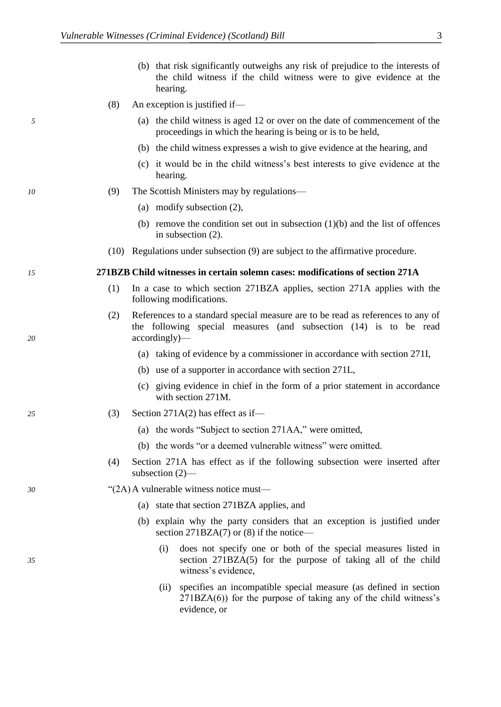- (b) that risk significantly outweighs any risk of prejudice to the interests of the child witness if the child witness were to give evidence at the hearing.
- (8) An exception is justified if—
- *5* (a) the child witness is aged 12 or over on the date of commencement of the proceedings in which the hearing is being or is to be held,
	- (b) the child witness expresses a wish to give evidence at the hearing, and
	- (c) it would be in the child witness's best interests to give evidence at the hearing.
- *10* (9) The Scottish Ministers may by regulations—
	- (a) modify subsection (2),
	- (b) remove the condition set out in subsection  $(1)(b)$  and the list of offences in subsection (2).
	- (10) Regulations under subsection (9) are subject to the affirmative procedure.

# *15* **271BZB Child witnesses in certain solemn cases: modifications of section 271A**

- (1) In a case to which section 271BZA applies, section 271A applies with the following modifications.
- (2) References to a standard special measure are to be read as references to any of the following special measures (and subsection (14) is to be read *20* accordingly)—
	- (a) taking of evidence by a commissioner in accordance with section 271I,
	- (b) use of a supporter in accordance with section 271L,
	- (c) giving evidence in chief in the form of a prior statement in accordance with section 271M.
- *25* (3) Section 271A(2) has effect as if—
	- (a) the words "Subject to section 271AA," were omitted,
	- (b) the words "or a deemed vulnerable witness" were omitted.
	- (4) Section 271A has effect as if the following subsection were inserted after subsection (2)—
- *30* "(2A)A vulnerable witness notice must—
	- (a) state that section 271BZA applies, and
	- (b) explain why the party considers that an exception is justified under section 271BZA(7) or (8) if the notice—
- (i) does not specify one or both of the special measures listed in *35* section 271BZA(5) for the purpose of taking all of the child witness's evidence,
	- (ii) specifies an incompatible special measure (as defined in section 271BZA(6)) for the purpose of taking any of the child witness's evidence, or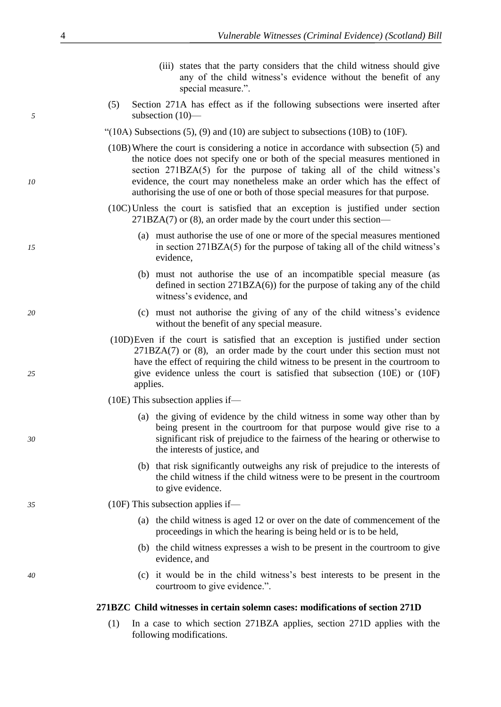- (iii) states that the party considers that the child witness should give any of the child witness's evidence without the benefit of any special measure.".
- (5) Section 271A has effect as if the following subsections were inserted after *5* subsection (10)—
	- "(10A) Subsections  $(5)$ ,  $(9)$  and  $(10)$  are subject to subsections  $(10B)$  to  $(10F)$ .
- (10B)Where the court is considering a notice in accordance with subsection (5) and the notice does not specify one or both of the special measures mentioned in section 271BZA(5) for the purpose of taking all of the child witness's *10* evidence, the court may nonetheless make an order which has the effect of authorising the use of one or both of those special measures for that purpose.
	- (10C)Unless the court is satisfied that an exception is justified under section 271BZA(7) or (8), an order made by the court under this section—
- (a) must authorise the use of one or more of the special measures mentioned *15* in section 271BZA(5) for the purpose of taking all of the child witness's evidence,
	- (b) must not authorise the use of an incompatible special measure (as defined in section 271BZA(6)) for the purpose of taking any of the child witness's evidence, and
- *20* (c) must not authorise the giving of any of the child witness's evidence without the benefit of any special measure.
- (10D)Even if the court is satisfied that an exception is justified under section 271BZA(7) or (8), an order made by the court under this section must not have the effect of requiring the child witness to be present in the courtroom to *25* give evidence unless the court is satisfied that subsection (10E) or (10F) applies.
	- (10E) This subsection applies if—
- (a) the giving of evidence by the child witness in some way other than by being present in the courtroom for that purpose would give rise to a *30* significant risk of prejudice to the fairness of the hearing or otherwise to the interests of justice, and
	- (b) that risk significantly outweighs any risk of prejudice to the interests of the child witness if the child witness were to be present in the courtroom to give evidence.
- *35* (10F) This subsection applies if—
	- (a) the child witness is aged 12 or over on the date of commencement of the proceedings in which the hearing is being held or is to be held,
	- (b) the child witness expresses a wish to be present in the courtroom to give evidence, and
- *40* (c) it would be in the child witness's best interests to be present in the courtroom to give evidence.".

## **271BZC Child witnesses in certain solemn cases: modifications of section 271D**

(1) In a case to which section 271BZA applies, section 271D applies with the following modifications.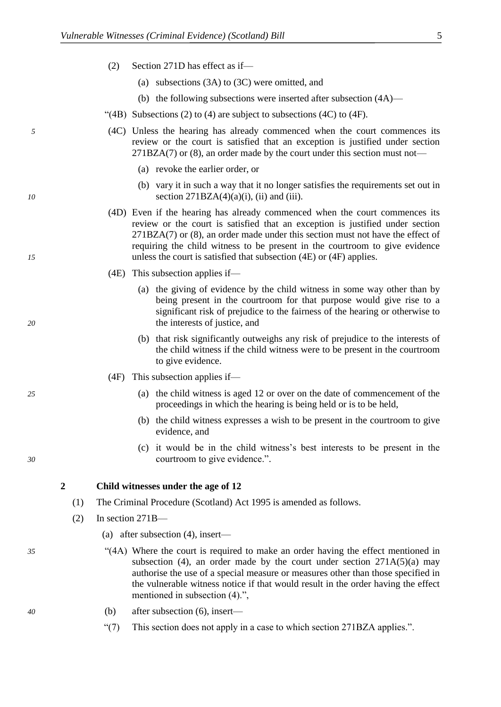- (2) Section 271D has effect as if—
	- (a) subsections (3A) to (3C) were omitted, and
	- (b) the following subsections were inserted after subsection (4A)—
- "(4B) Subsections (2) to (4) are subject to subsections (4C) to (4F).
- *5* (4C) Unless the hearing has already commenced when the court commences its review or the court is satisfied that an exception is justified under section  $271BZA(7)$  or (8), an order made by the court under this section must not—
	- (a) revoke the earlier order, or
- (b) vary it in such a way that it no longer satisfies the requirements set out in *10* section 271BZA(4)(a)(i), (ii) and (iii).
- (4D) Even if the hearing has already commenced when the court commences its review or the court is satisfied that an exception is justified under section 271BZA(7) or (8), an order made under this section must not have the effect of requiring the child witness to be present in the courtroom to give evidence *15* unless the court is satisfied that subsection (4E) or (4F) applies.
	- (4E) This subsection applies if—
- (a) the giving of evidence by the child witness in some way other than by being present in the courtroom for that purpose would give rise to a significant risk of prejudice to the fairness of the hearing or otherwise to *20* the interests of justice, and
	- (b) that risk significantly outweighs any risk of prejudice to the interests of the child witness if the child witness were to be present in the courtroom to give evidence.
	- (4F) This subsection applies if—
- *25* (a) the child witness is aged 12 or over on the date of commencement of the proceedings in which the hearing is being held or is to be held,
	- (b) the child witness expresses a wish to be present in the courtroom to give evidence, and
- (c) it would be in the child witness's best interests to be present in the *30* courtroom to give evidence.".

**2 Child witnesses under the age of 12**

- (1) The Criminal Procedure (Scotland) Act 1995 is amended as follows.
- (2) In section 271B—
	- (a) after subsection (4), insert—
- *35* "(4A) Where the court is required to make an order having the effect mentioned in subsection (4), an order made by the court under section  $271A(5)(a)$  may authorise the use of a special measure or measures other than those specified in the vulnerable witness notice if that would result in the order having the effect mentioned in subsection (4).",
- *40* (b) after subsection (6), insert—
	- "(7) This section does not apply in a case to which section 271BZA applies.".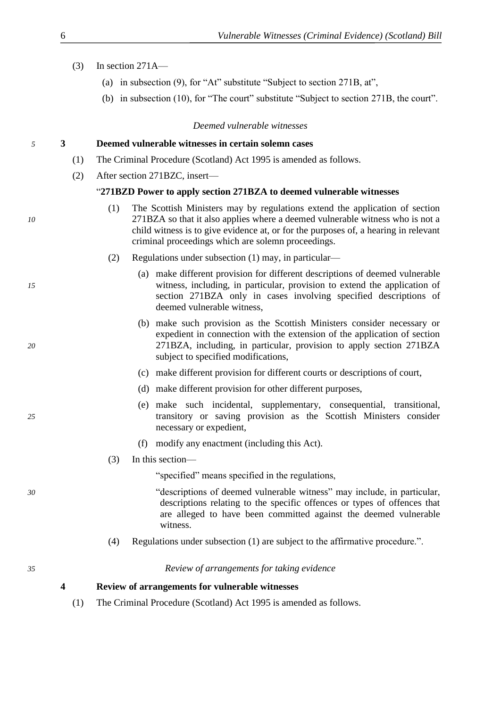| (3) | In section 271A- |  |
|-----|------------------|--|
|-----|------------------|--|

- (a) in subsection (9), for "At" substitute "Subject to section 271B, at",
- (b) in subsection (10), for "The court" substitute "Subject to section 271B, the court".

## *Deemed vulnerable witnesses*

*5* **3 Deemed vulnerable witnesses in certain solemn cases**

- (1) The Criminal Procedure (Scotland) Act 1995 is amended as follows.
- (2) After section 271BZC, insert—

#### "**271BZD Power to apply section 271BZA to deemed vulnerable witnesses**

- (1) The Scottish Ministers may by regulations extend the application of section *10* 271BZA so that it also applies where a deemed vulnerable witness who is not a child witness is to give evidence at, or for the purposes of, a hearing in relevant criminal proceedings which are solemn proceedings.
	- (2) Regulations under subsection (1) may, in particular—
- (a) make different provision for different descriptions of deemed vulnerable *15* witness, including, in particular, provision to extend the application of section 271BZA only in cases involving specified descriptions of deemed vulnerable witness,
- (b) make such provision as the Scottish Ministers consider necessary or expedient in connection with the extension of the application of section *20* 271BZA, including, in particular, provision to apply section 271BZA subject to specified modifications,
	- (c) make different provision for different courts or descriptions of court,
	- (d) make different provision for other different purposes,
- (e) make such incidental, supplementary, consequential, transitional, *25* transitory or saving provision as the Scottish Ministers consider necessary or expedient,
	- (f) modify any enactment (including this Act).
	- (3) In this section—

"specified" means specified in the regulations,

*30* "descriptions of deemed vulnerable witness" may include, in particular, descriptions relating to the specific offences or types of offences that are alleged to have been committed against the deemed vulnerable witness.

(4) Regulations under subsection (1) are subject to the affirmative procedure.".

*35 Review of arrangements for taking evidence*

**4 Review of arrangements for vulnerable witnesses**

(1) The Criminal Procedure (Scotland) Act 1995 is amended as follows.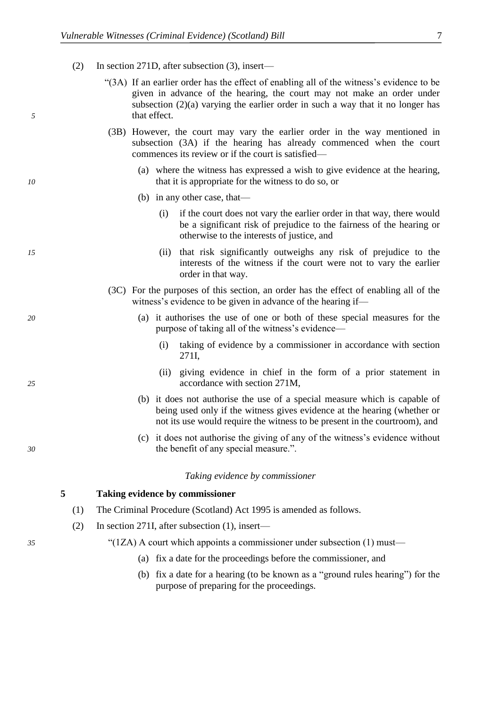- (2) In section 271D, after subsection (3), insert—
- "(3A) If an earlier order has the effect of enabling all of the witness's evidence to be given in advance of the hearing, the court may not make an order under subsection  $(2)(a)$  varying the earlier order in such a way that it no longer has *5* that effect.
	- (3B) However, the court may vary the earlier order in the way mentioned in subsection (3A) if the hearing has already commenced when the court commences its review or if the court is satisfied—
- (a) where the witness has expressed a wish to give evidence at the hearing, *10* that it is appropriate for the witness to do so, or
	- (b) in any other case, that—
		- (i) if the court does not vary the earlier order in that way, there would be a significant risk of prejudice to the fairness of the hearing or otherwise to the interests of justice, and
- *15* (ii) that risk significantly outweighs any risk of prejudice to the interests of the witness if the court were not to vary the earlier order in that way.
	- (3C) For the purposes of this section, an order has the effect of enabling all of the witness's evidence to be given in advance of the hearing if—
- *20* (a) it authorises the use of one or both of these special measures for the purpose of taking all of the witness's evidence—
	- (i) taking of evidence by a commissioner in accordance with section 271I,
- (ii) giving evidence in chief in the form of a prior statement in *25* accordance with section 271M,
	- (b) it does not authorise the use of a special measure which is capable of being used only if the witness gives evidence at the hearing (whether or not its use would require the witness to be present in the courtroom), and
- (c) it does not authorise the giving of any of the witness's evidence without *30* the benefit of any special measure.".

*Taking evidence by commissioner*

**5 Taking evidence by commissioner**

- (1) The Criminal Procedure (Scotland) Act 1995 is amended as follows.
- (2) In section 271I, after subsection (1), insert—
- *35* "(1ZA) A court which appoints a commissioner under subsection (1) must—
	- (a) fix a date for the proceedings before the commissioner, and
	- (b) fix a date for a hearing (to be known as a "ground rules hearing") for the purpose of preparing for the proceedings.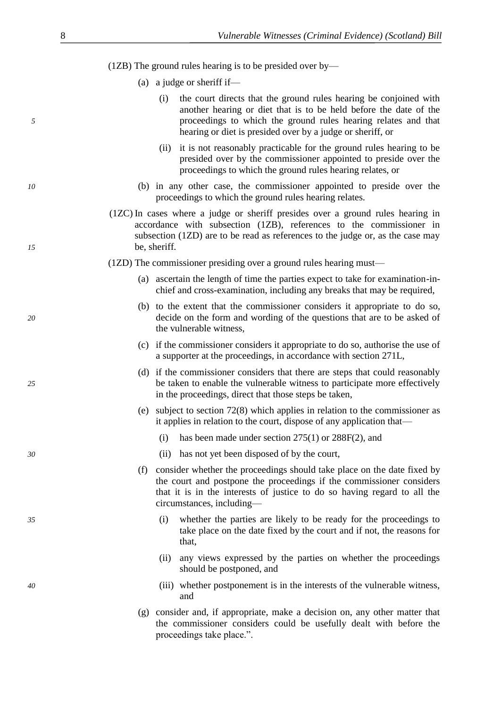#### (1ZB) The ground rules hearing is to be presided over by—

- (a) a judge or sheriff if—
- (i) the court directs that the ground rules hearing be conjoined with another hearing or diet that is to be held before the date of the *5* proceedings to which the ground rules hearing relates and that hearing or diet is presided over by a judge or sheriff, or
	- (ii) it is not reasonably practicable for the ground rules hearing to be presided over by the commissioner appointed to preside over the proceedings to which the ground rules hearing relates, or
- *10* (b) in any other case, the commissioner appointed to preside over the proceedings to which the ground rules hearing relates.
- (1ZC) In cases where a judge or sheriff presides over a ground rules hearing in accordance with subsection (1ZB), references to the commissioner in subsection (1ZD) are to be read as references to the judge or, as the case may *15* be, sheriff.
	- (1ZD) The commissioner presiding over a ground rules hearing must—
		- (a) ascertain the length of time the parties expect to take for examination-inchief and cross-examination, including any breaks that may be required,
- (b) to the extent that the commissioner considers it appropriate to do so, *20* decide on the form and wording of the questions that are to be asked of the vulnerable witness,
	- (c) if the commissioner considers it appropriate to do so, authorise the use of a supporter at the proceedings, in accordance with section 271L,
- (d) if the commissioner considers that there are steps that could reasonably *25* be taken to enable the vulnerable witness to participate more effectively in the proceedings, direct that those steps be taken,
	- (e) subject to section 72(8) which applies in relation to the commissioner as it applies in relation to the court, dispose of any application that—
		- (i) has been made under section 275(1) or 288F(2), and
- *30* (ii) has not yet been disposed of by the court,
	- (f) consider whether the proceedings should take place on the date fixed by the court and postpone the proceedings if the commissioner considers that it is in the interests of justice to do so having regard to all the circumstances, including—
- *35* (i) whether the parties are likely to be ready for the proceedings to take place on the date fixed by the court and if not, the reasons for that,
	- (ii) any views expressed by the parties on whether the proceedings should be postponed, and
- *40* (iii) whether postponement is in the interests of the vulnerable witness, and
	- (g) consider and, if appropriate, make a decision on, any other matter that the commissioner considers could be usefully dealt with before the proceedings take place.".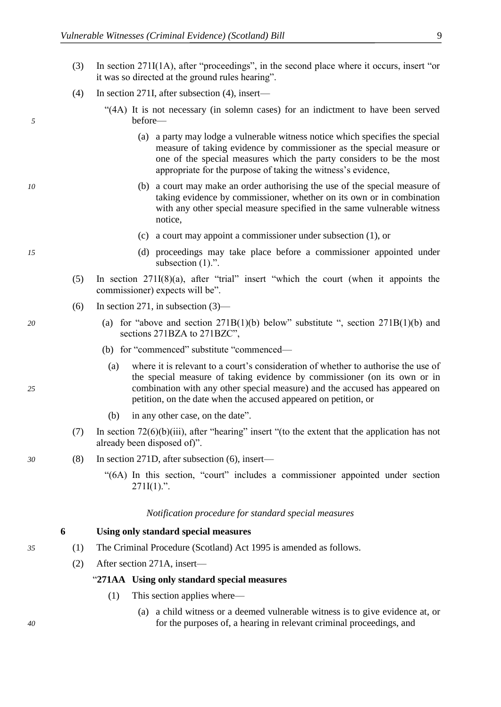- (3) In section 271I(1A), after "proceedings", in the second place where it occurs, insert "or it was so directed at the ground rules hearing".
- (4) In section 271I, after subsection (4), insert—
- "(4A) It is not necessary (in solemn cases) for an indictment to have been served *5* before—
	- (a) a party may lodge a vulnerable witness notice which specifies the special measure of taking evidence by commissioner as the special measure or one of the special measures which the party considers to be the most appropriate for the purpose of taking the witness's evidence,
- *10* (b) a court may make an order authorising the use of the special measure of taking evidence by commissioner, whether on its own or in combination with any other special measure specified in the same vulnerable witness notice,
	- (c) a court may appoint a commissioner under subsection (1), or
- *15* (d) proceedings may take place before a commissioner appointed under subsection  $(1)$ .".
	- (5) In section 271I(8)(a), after "trial" insert "which the court (when it appoints the commissioner) expects will be".
	- (6) In section 271, in subsection  $(3)$ —
- *20* (a) for "above and section 271B(1)(b) below" substitute ", section 271B(1)(b) and sections 271BZA to 271BZC",
	- (b) for "commenced" substitute "commenced—
- (a) where it is relevant to a court's consideration of whether to authorise the use of the special measure of taking evidence by commissioner (on its own or in *25* combination with any other special measure) and the accused has appeared on petition, on the date when the accused appeared on petition, or
	- (b) in any other case, on the date".
	- (7) In section 72(6)(b)(iii), after "hearing" insert "(to the extent that the application has not already been disposed of)".
- *30* (8) In section 271D, after subsection (6), insert—
	- "(6A) In this section, "court" includes a commissioner appointed under section  $271I(1)$ .".

#### *Notification procedure for standard special measures*

### **6 Using only standard special measures**

- *35* (1) The Criminal Procedure (Scotland) Act 1995 is amended as follows.
	- (2) After section 271A, insert—

#### "**271AA Using only standard special measures**

- (1) This section applies where—
- (a) a child witness or a deemed vulnerable witness is to give evidence at, or *40* for the purposes of, a hearing in relevant criminal proceedings, and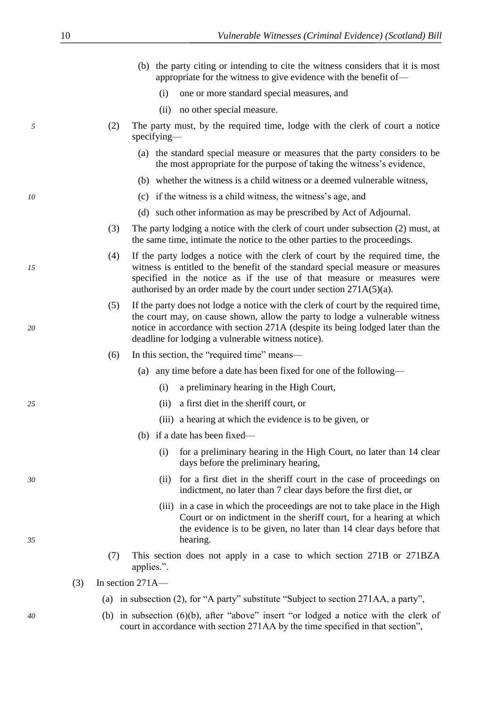- (b) the party citing or intending to cite the witness considers that it is most appropriate for the witness to give evidence with the benefit of—
	- (i) one or more standard special measures, and
	- (ii) no other special measure.
- *5* (2) The party must, by the required time, lodge with the clerk of court a notice specifying—
	- (a) the standard special measure or measures that the party considers to be the most appropriate for the purpose of taking the witness's evidence,
	- (b) whether the witness is a child witness or a deemed vulnerable witness,
- *10* (c) if the witness is a child witness, the witness's age, and
	- (d) such other information as may be prescribed by Act of Adjournal.
	- (3) The party lodging a notice with the clerk of court under subsection (2) must, at the same time, intimate the notice to the other parties to the proceedings.
- (4) If the party lodges a notice with the clerk of court by the required time, the *15* witness is entitled to the benefit of the standard special measure or measures specified in the notice as if the use of that measure or measures were authorised by an order made by the court under section 271A(5)(a).
- (5) If the party does not lodge a notice with the clerk of court by the required time, the court may, on cause shown, allow the party to lodge a vulnerable witness *20* notice in accordance with section 271A (despite its being lodged later than the deadline for lodging a vulnerable witness notice).
	- (6) In this section, the "required time" means—
		- (a) any time before a date has been fixed for one of the following—
			- (i) a preliminary hearing in the High Court,
- *25* (ii) a first diet in the sheriff court, or
	- (iii) a hearing at which the evidence is to be given, or
	- (b) if a date has been fixed—
		- (i) for a preliminary hearing in the High Court, no later than 14 clear days before the preliminary hearing,
- *30* (ii) for a first diet in the sheriff court in the case of proceedings on indictment, no later than 7 clear days before the first diet, or
- (iii) in a case in which the proceedings are not to take place in the High Court or on indictment in the sheriff court, for a hearing at which the evidence is to be given, no later than 14 clear days before that *35* hearing.
	- (7) This section does not apply in a case to which section 271B or 271BZA applies.".
	- (3) In section 271A—
		- (a) in subsection (2), for "A party" substitute "Subject to section 271AA, a party",
- *40* (b) in subsection (6)(b), after "above" insert "or lodged a notice with the clerk of court in accordance with section 271AA by the time specified in that section",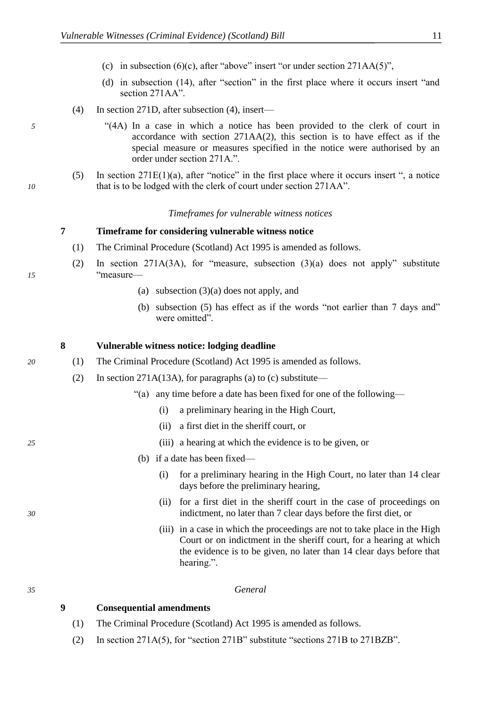- (c) in subsection  $(6)(c)$ , after "above" insert "or under section 271AA(5)",
- (d) in subsection (14), after "section" in the first place where it occurs insert "and section 271AA".
- (4) In section 271D, after subsection (4), insert—
- *5* "(4A) In a case in which a notice has been provided to the clerk of court in accordance with section 271AA(2), this section is to have effect as if the special measure or measures specified in the notice were authorised by an order under section 271A.".
- (5) In section  $271E(1)(a)$ , after "notice" in the first place where it occurs insert ", a notice *10* that is to be lodged with the clerk of court under section 271AA".

#### *Timeframes for vulnerable witness notices*

# **7 Timeframe for considering vulnerable witness notice**

- (1) The Criminal Procedure (Scotland) Act 1995 is amended as follows.
- (2) In section 271A(3A), for "measure, subsection (3)(a) does not apply" substitute *15* "measure—
	- (a) subsection (3)(a) does not apply, and
	- (b) subsection (5) has effect as if the words "not earlier than 7 days and" were omitted".

# **8 Vulnerable witness notice: lodging deadline**

- *20* (1) The Criminal Procedure (Scotland) Act 1995 is amended as follows.
	- (2) In section 271A(13A), for paragraphs (a) to (c) substitute—
		- "(a) any time before a date has been fixed for one of the following—
			- (i) a preliminary hearing in the High Court,
			- (ii) a first diet in the sheriff court, or
- *25* (iii) a hearing at which the evidence is to be given, or
	- (b) if a date has been fixed—
		- (i) for a preliminary hearing in the High Court, no later than 14 clear days before the preliminary hearing,
- (ii) for a first diet in the sheriff court in the case of proceedings on *30* indictment, no later than 7 clear days before the first diet, or
	- (iii) in a case in which the proceedings are not to take place in the High Court or on indictment in the sheriff court, for a hearing at which the evidence is to be given, no later than 14 clear days before that hearing.".

# *35 General*

**9 Consequential amendments**

- (1) The Criminal Procedure (Scotland) Act 1995 is amended as follows.
- (2) In section 271A(5), for "section 271B" substitute "sections 271B to 271BZB".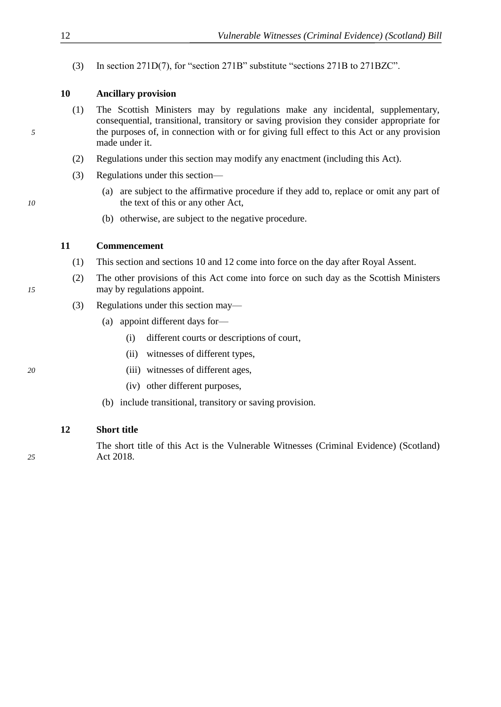<span id="page-13-0"></span>(3) In section 271D(7), for "section 271B" substitute "sections 271B to 271BZC".

# **10 Ancillary provision**

- (1) The Scottish Ministers may by regulations make any incidental, supplementary, consequential, transitional, transitory or saving provision they consider appropriate for *5* the purposes of, in connection with or for giving full effect to this Act or any provision made under it.
	- (2) Regulations under this section may modify any enactment (including this Act).
	- (3) Regulations under this section—
- (a) are subject to the affirmative procedure if they add to, replace or omit any part of *10* the text of this or any other Act,
	- (b) otherwise, are subject to the negative procedure.

# **11 Commencement**

- (1) This section and sections [10](#page-13-0) and [12](#page-13-0) come into force on the day after Royal Assent.
- (2) The other provisions of this Act come into force on such day as the Scottish Ministers *15* may by regulations appoint.
	- (3) Regulations under this section may—
		- (a) appoint different days for—
			- (i) different courts or descriptions of court,
			- (ii) witnesses of different types,
- *20* (iii) witnesses of different ages,
	- (iv) other different purposes,
	- (b) include transitional, transitory or saving provision.

# **12 Short title**

The short title of this Act is the Vulnerable Witnesses (Criminal Evidence) (Scotland) *25* Act 2018.